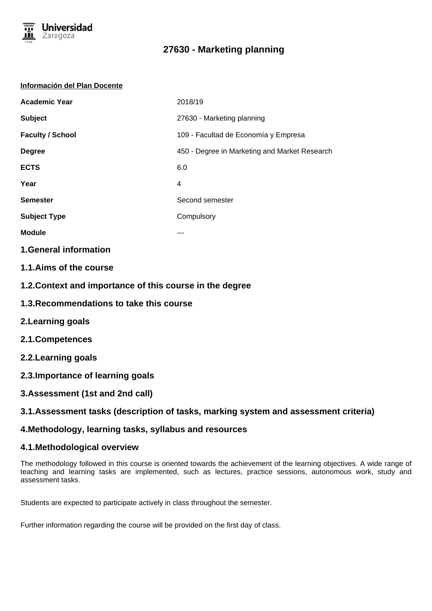

# **27630 - Marketing planning**

#### **Información del Plan Docente**

| <b>Academic Year</b>    | 2018/19                                       |
|-------------------------|-----------------------------------------------|
| <b>Subject</b>          | 27630 - Marketing planning                    |
| <b>Faculty / School</b> | 109 - Facultad de Economía y Empresa          |
| <b>Degree</b>           | 450 - Degree in Marketing and Market Research |
| <b>ECTS</b>             | 6.0                                           |
| Year                    | 4                                             |
| <b>Semester</b>         | Second semester                               |
| <b>Subject Type</b>     | Compulsory                                    |
| <b>Module</b>           |                                               |

### **1.General information**

- **1.1.Aims of the course**
- **1.2.Context and importance of this course in the degree**
- **1.3.Recommendations to take this course**
- **2.Learning goals**
- **2.1.Competences**
- **2.2.Learning goals**
- **2.3.Importance of learning goals**
- **3.Assessment (1st and 2nd call)**

### **3.1.Assessment tasks (description of tasks, marking system and assessment criteria)**

### **4.Methodology, learning tasks, syllabus and resources**

### **4.1.Methodological overview**

The methodology followed in this course is oriented towards the achievement of the learning objectives. A wide range of teaching and learning tasks are implemented, such as lectures, practice sessions, autonomous work, study and assessment tasks.

Students are expected to participate actively in class throughout the semester.

Further information regarding the course will be provided on the first day of class.